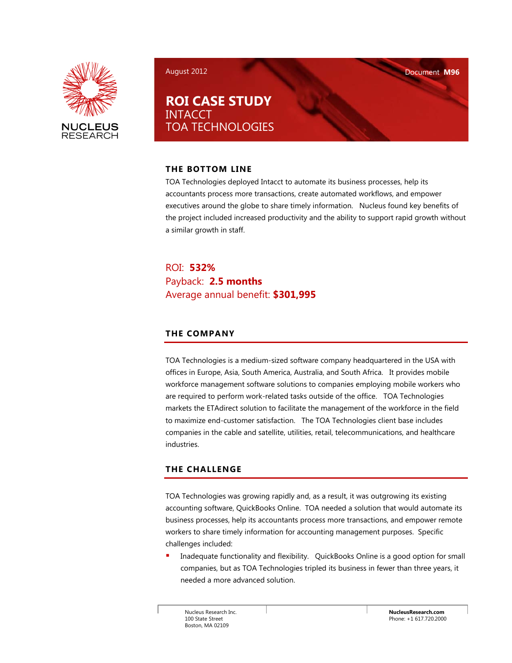

August 2012 Document **M96** 

**ROI CASE STUDY** INTACCT TOA TECHNOLOGIES

## **THE BOTTOM LINE**

TOA Technologies deployed Intacct to automate its business processes, help its accountants process more transactions, create automated workflows, and empower executives around the globe to share timely information. Nucleus found key benefits of the project included increased productivity and the ability to support rapid growth without a similar growth in staff.

ROI: **532%**  Payback: **2.5 months**  Average annual benefit: **\$301,995** 

# **THE COMPANY**

TOA Technologies is a medium-sized software company headquartered in the USA with offices in Europe, Asia, South America, Australia, and South Africa. It provides mobile workforce management software solutions to companies employing mobile workers who are required to perform work-related tasks outside of the office. TOA Technologies markets the ETAdirect solution to facilitate the management of the workforce in the field to maximize end-customer satisfaction. The TOA Technologies client base includes companies in the cable and satellite, utilities, retail, telecommunications, and healthcare industries.

# **THE CHALLENGE**

TOA Technologies was growing rapidly and, as a result, it was outgrowing its existing accounting software, QuickBooks Online. TOA needed a solution that would automate its business processes, help its accountants process more transactions, and empower remote workers to share timely information for accounting management purposes. Specific challenges included:

 Inadequate functionality and flexibility. QuickBooks Online is a good option for small companies, but as TOA Technologies tripled its business in fewer than three years, it needed a more advanced solution.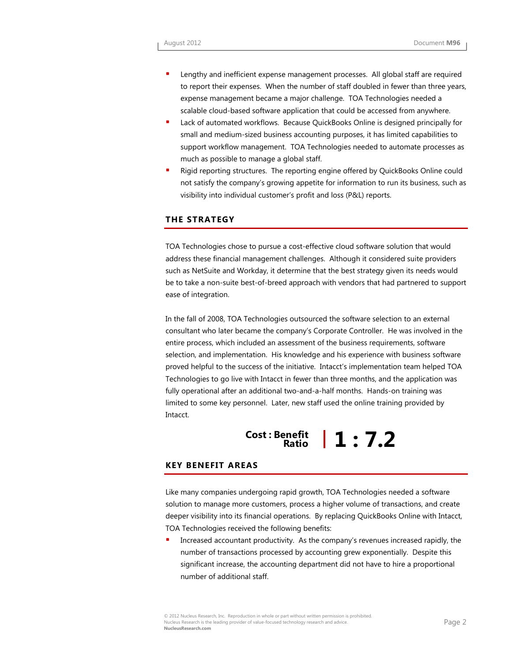- Lengthy and inefficient expense management processes. All global staff are required to report their expenses. When the number of staff doubled in fewer than three years, expense management became a major challenge. TOA Technologies needed a scalable cloud-based software application that could be accessed from anywhere.
- Lack of automated workflows. Because QuickBooks Online is designed principally for small and medium-sized business accounting purposes, it has limited capabilities to support workflow management. TOA Technologies needed to automate processes as much as possible to manage a global staff.
- Rigid reporting structures. The reporting engine offered by QuickBooks Online could not satisfy the company's growing appetite for information to run its business, such as visibility into individual customer's profit and loss (P&L) reports.

#### **THE STRATEGY**

TOA Technologies chose to pursue a cost-effective cloud software solution that would address these financial management challenges. Although it considered suite providers such as NetSuite and Workday, it determine that the best strategy given its needs would be to take a non-suite best-of-breed approach with vendors that had partnered to support ease of integration.

In the fall of 2008, TOA Technologies outsourced the software selection to an external consultant who later became the company's Corporate Controller. He was involved in the entire process, which included an assessment of the business requirements, software selection, and implementation. His knowledge and his experience with business software proved helpful to the success of the initiative. Intacct's implementation team helped TOA Technologies to go live with Intacct in fewer than three months, and the application was fully operational after an additional two-and-a-half months. Hands-on training was limited to some key personnel. Later, new staff used the online training provided by Intacct.

# **Cost : Benefit Ratio 1 : 7.2**

#### **KEY BENEFIT AREAS**

Like many companies undergoing rapid growth, TOA Technologies needed a software solution to manage more customers, process a higher volume of transactions, and create deeper visibility into its financial operations. By replacing QuickBooks Online with Intacct, TOA Technologies received the following benefits:

 Increased accountant productivity. As the company's revenues increased rapidly, the number of transactions processed by accounting grew exponentially. Despite this significant increase, the accounting department did not have to hire a proportional number of additional staff.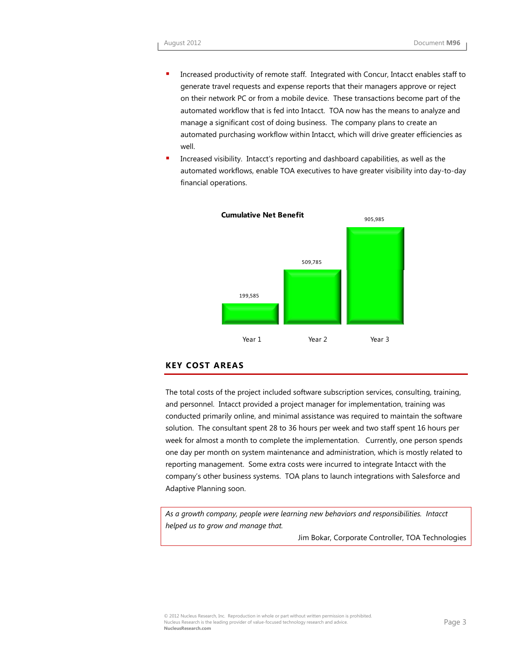- Increased productivity of remote staff. Integrated with Concur, Intacct enables staff to generate travel requests and expense reports that their managers approve or reject on their network PC or from a mobile device. These transactions become part of the automated workflow that is fed into Intacct. TOA now has the means to analyze and manage a significant cost of doing business. The company plans to create an automated purchasing workflow within Intacct, which will drive greater efficiencies as well.
- Increased visibility. Intacct's reporting and dashboard capabilities, as well as the automated workflows, enable TOA executives to have greater visibility into day-to-day financial operations.



#### **KEY COST AREAS**

The total costs of the project included software subscription services, consulting, training, and personnel. Intacct provided a project manager for implementation, training was conducted primarily online, and minimal assistance was required to maintain the software solution. The consultant spent 28 to 36 hours per week and two staff spent 16 hours per week for almost a month to complete the implementation. Currently, one person spends one day per month on system maintenance and administration, which is mostly related to reporting management. Some extra costs were incurred to integrate Intacct with the company's other business systems. TOA plans to launch integrations with Salesforce and Adaptive Planning soon.

*As a growth company, people were learning new behaviors and responsibilities. Intacct helped us to grow and manage that.* 

Jim Bokar, Corporate Controller, TOA Technologies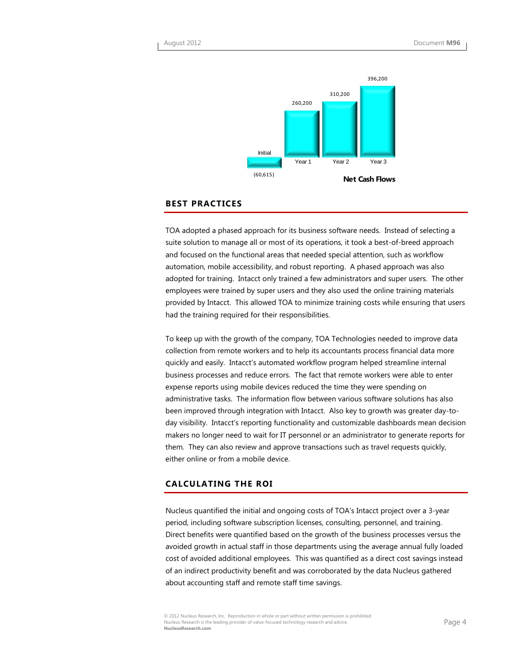

#### **BEST PRACTICES**

TOA adopted a phased approach for its business software needs. Instead of selecting a suite solution to manage all or most of its operations, it took a best-of-breed approach and focused on the functional areas that needed special attention, such as workflow automation, mobile accessibility, and robust reporting. A phased approach was also adopted for training. Intacct only trained a few administrators and super users. The other employees were trained by super users and they also used the online training materials provided by Intacct. This allowed TOA to minimize training costs while ensuring that users had the training required for their responsibilities.

To keep up with the growth of the company, TOA Technologies needed to improve data collection from remote workers and to help its accountants process financial data more quickly and easily. Intacct's automated workflow program helped streamline internal business processes and reduce errors. The fact that remote workers were able to enter expense reports using mobile devices reduced the time they were spending on administrative tasks. The information flow between various software solutions has also been improved through integration with Intacct. Also key to growth was greater day-today visibility. Intacct's reporting functionality and customizable dashboards mean decision makers no longer need to wait for IT personnel or an administrator to generate reports for them. They can also review and approve transactions such as travel requests quickly, either online or from a mobile device.

#### **CALCULATING THE ROI**

Nucleus quantified the initial and ongoing costs of TOA's Intacct project over a 3-year period, including software subscription licenses, consulting, personnel, and training. Direct benefits were quantified based on the growth of the business processes versus the avoided growth in actual staff in those departments using the average annual fully loaded cost of avoided additional employees. This was quantified as a direct cost savings instead of an indirect productivity benefit and was corroborated by the data Nucleus gathered about accounting staff and remote staff time savings.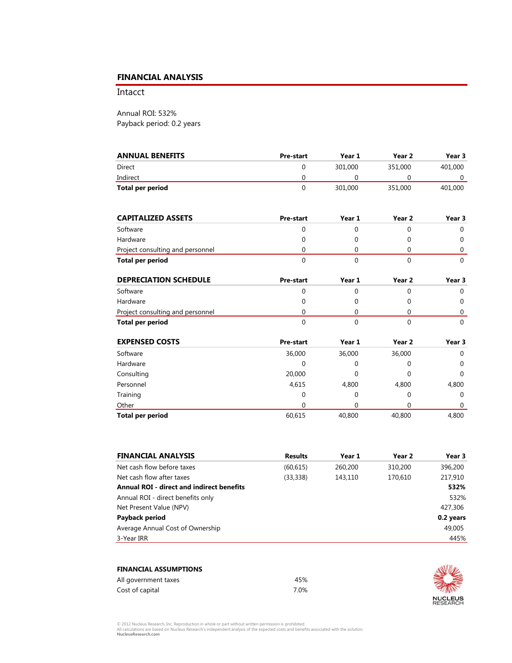## **FINANCIAL ANALYSIS**

Intacct

Annual ROI: 532% Payback period: 0.2 years

| <b>ANNUAL BENEFITS</b> | <b>Pre-start</b> | Year 1  | Year 2  | Year 3  |
|------------------------|------------------|---------|---------|---------|
| Direct                 |                  | 301.000 | 351,000 | 401,000 |
| Indirect               |                  |         |         |         |
| Total per period       |                  | 301.000 | 351,000 | 401,000 |

| <b>CAPITALIZED ASSETS</b>        | <b>Pre-start</b> | Year 1 | Year 2 | Year 3 |
|----------------------------------|------------------|--------|--------|--------|
| Software                         |                  |        |        |        |
| Hardware                         |                  |        |        |        |
| Project consulting and personnel |                  |        |        |        |
| Total per period                 |                  |        |        |        |

| <b>DEPRECIATION SCHEDULE</b>     | <b>Pre-start</b> | Year 1 | Year 2 | Year 3 |
|----------------------------------|------------------|--------|--------|--------|
| Software                         |                  |        |        |        |
| Hardware                         |                  |        |        |        |
| Project consulting and personnel |                  |        |        |        |
| Total per period                 |                  |        |        |        |

| <b>EXPENSED COSTS</b>   | <b>Pre-start</b> | Year 1 | Year 2 | Year 3      |
|-------------------------|------------------|--------|--------|-------------|
| Software                | 36,000           | 36,000 | 36,000 | $\mathbf 0$ |
| Hardware                | 0                |        | 0      | $\mathbf 0$ |
| Consulting              | 20,000           |        | 0      | $\Omega$    |
| Personnel               | 4,615            | 4,800  | 4,800  | 4,800       |
| Training                | 0                |        | 0      | $\mathbf 0$ |
| Other                   | 0                |        |        | $\Omega$    |
| <b>Total per period</b> | 60,615           | 40,800 | 40,800 | 4,800       |

| <b>Results</b> | Year 1  | Year 2  | Year 3    |
|----------------|---------|---------|-----------|
| (60, 615)      | 260,200 | 310,200 | 396,200   |
| (33, 338)      | 143,110 | 170,610 | 217,910   |
|                |         |         | 532%      |
|                |         |         | 532%      |
|                |         |         | 427,306   |
|                |         |         | 0.2 years |
|                |         |         | 49,005    |
|                |         |         | 445%      |
|                |         |         |           |

| <b>FINANCIAL ASSUMPTIONS</b> |      |
|------------------------------|------|
| All government taxes         | 45%  |
| Cost of capital              | 7 በ% |



© 2012 Nucleus Research, Inc. Reproduction in whole or part without written permission is prohibited.<br>All calculations are based on Nucleus Research's independent analysis of the expected costs and benefits associated with